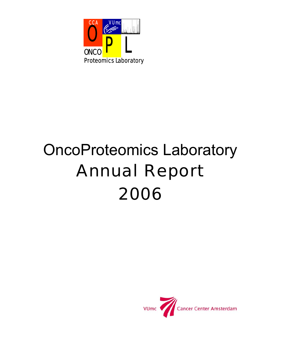

# OncoProteomics Laboratory Annual Report 2006

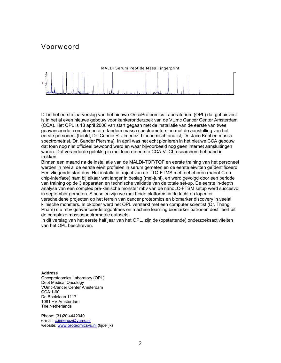# Voorwoord



Dit is het eerste jaarverslag van het nieuwe OncoProteomics Laboratorium (OPL) dat gehuisvest is in het al even nieuwe gebouw voor kankeronderzoek van de VUmc Cancer Center Amsterdam (CCA). Het OPL is 13 april 2006 van start gegaan met de installatie van de eerste van twee geavanceerde, complementaire tandem massa spectrometers en met de aanstelling van het eerste personeel (hoofd, Dr. Connie R. Jimenez; biochemisch analist, Dr. Jaco Knol en massa spectrometrist, Dr. Sander Piersma). In april was het echt pionieren in het nieuwe CCA gebouw dat toen nog niet officieel bewoond werd en waar bijvoorbeeld nog geen internet aansluitingen waren. Dat veranderde gelukkig in mei toen de eerste CCA-V-ICI researchers het pand in trokken.

Binnen een maand na de installatie van de MALDI-TOF/TOF en eerste training van het personeel werden in mei al de eerste eiwit profielen in serum gemeten en de eerste eiwitten geïdentificeerd. Een vliegende start dus. Het installatie traject van de LTQ-FTMS met toebehoren (nanoLC en chip-interface) nam bij elkaar wat langer in beslag (mei-juni), en werd gevolgd door een periode van training op de 3 apparaten en technische validatie van de totale set-up. De eerste in-depth analyse van een complex pre-klinische monster mbv van de nanoLC-FTSM setup werd succesvol in september gemeten. Sindsdien zijn we met beide platforms in de lucht en lopen er verscheidene projecten op het terrein van cancer proteomics en biomarker discovery in veelal klinische monsters. In oktober werd het OPL versterkt met een computer scientist (Dr. Thang Pham) die mbv geavanceerde algoritmes en machine learning biomarker patronen destilleert uit de complexe massaspectrometrie datasets.

In dit verslag van het eerste half jaar van het OPL, zijn de (opstartende) onderzoeksactiviteiten van het OPL beschreven.

#### **Address**

Oncoproteomics Laboratory (OPL) Dept Medical Oncology VUmc-Cancer Center Amsterdam CCA 1-60 De Boelelaan 1117 1081 HV Amsterdam The Netherlands

Phone: (31)20 4442340 e-mail: c.jimenez@vumc.nl website: www.proteomicsvu.nl (tijdelijk)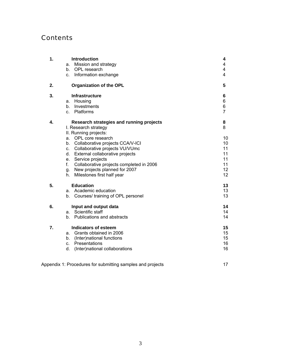# **Contents**

| 1. | a.<br>b.<br>C.                               | <b>Introduction</b><br>Mission and strategy<br>OPL research<br>Information exchange                                                                                                                                                                                                                                                                    | 4<br>4<br>4<br>$\overline{4}$                          |
|----|----------------------------------------------|--------------------------------------------------------------------------------------------------------------------------------------------------------------------------------------------------------------------------------------------------------------------------------------------------------------------------------------------------------|--------------------------------------------------------|
| 2. |                                              | <b>Organization of the OPL</b>                                                                                                                                                                                                                                                                                                                         | 5                                                      |
| 3. | a.<br>b.<br>$C_{-}$                          | <b>Infrastructure</b><br>Housing<br>Investments<br>Platforms                                                                                                                                                                                                                                                                                           | 6<br>6<br>6<br>$\overline{7}$                          |
| 4. | a.<br>b.<br>C.<br>d.<br>e.<br>f.<br>g.<br>h. | Research strategies and running projects<br>I. Research strategy<br>II. Running projects:<br>OPL core research<br>Collaborative projects CCA/V-ICI<br>Collaborative projects VU/VUmc<br>External collaborative projects<br>Service projects<br>Collaborative projects completed in 2006<br>New projects planned for 2007<br>Milestones first half year | 8<br>8<br>10<br>10<br>11<br>11<br>11<br>11<br>12<br>12 |
| 5. | a.<br>b.                                     | <b>Education</b><br>Academic education<br>Courses/ training of OPL personel                                                                                                                                                                                                                                                                            | 13<br>13<br>13                                         |
| 6. | а.<br>b.                                     | Input and output data<br>Scientific staff<br>Publications and abstracts                                                                                                                                                                                                                                                                                | 14<br>14<br>14                                         |
| 7. | а.<br>b.<br>$C_{-}$<br>d.                    | <b>Indicators of esteem</b><br>Grants obtained in 2006<br>(Inter)national functions<br>Presentations<br>(Inter)national collaborations                                                                                                                                                                                                                 | 15<br>15<br>15<br>16<br>16                             |

| Appendix 1: Procedures for submitting samples and projects |  |
|------------------------------------------------------------|--|
|------------------------------------------------------------|--|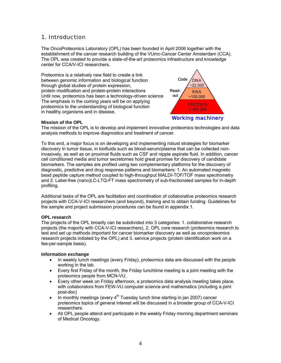## 1. Introduction

The OncoProteomics Laboratory (OPL) has been founded in April 2006 together with the establishment of the cancer research building of the VUmc-Cancer Center Amsterdam (CCA). The OPL was created to provide a state-of-the-art proteomics infrastructure and knowledge center for CCA/V-ICI researchers.

Proteomics is a relatively new field to create a link between genomic information and biological function through global studies of protein expression, protein modification and protein-protein interactions Until now, proteomics has been a technology-driven science The emphasis in the coming years will be on applying proteomics to the understanding of biological function in healthy organisms and in disease.



## **Mission of the OPL**

The mission of the OPL is to develop and implement innovative proteomics technologies and data analysis methods to improve diagnostics and treatment of cancer.

To this end, a major focus is on developing and implementing robust strategies for biomarker discovery in tumor tissue, in biofluids such as blood-serum/plasma that can be collected noninvasively, as well as on proximal fluids such as CSF and nipple aspirate fluid. In addition, cancer cell conditioned media and tumor secretomes hold great promise for discovery of candidate biomarkers. The samples are profiled using two complementary platforms for the discovery of diagnostic, predictive and drug response patterns and biomarkers: 1. An automated magnetic bead peptide capture method coupled to high-throughput MALDI-TOF/TOF mass spectrometry and 2. Label-free (nano)LC-LTQ-FT mass spectrometry of sub-fractionated samples for in-depth profiling.

Additional tasks of the OPL are facilitation and coordination of collaborative proteomics research projects with CCA-V-ICI researchers (and beyond), training and to obtain funding. Guidelines for the sample and project submission procedures can be found in appendix 1.

## **OPL research**

The projects of the OPL broadly can be subdivided into 3 categories: 1. collaborative research projects (the majority with CCA-V-ICI researchers), 2. OPL core research (proteomics research to test and set up methods important for cancer biomarker discovery as well as oncoproteomics research projects initiated by the OPL) and 3. service projects (protein identification work on a fee-per-sample basis).

## **Information exchange**

- In weekly lunch meetings (every Friday), proteomics data are discussed with the people working in the lab.
- Every first Friday of the month, the Friday lunchtime meeting is a joint meeting with the proteomics people from MCN-VU.
- Every other week on Friday afternoon, a proteomics data analysis meeting takes place. with collaborators from FEW-VU computer science and mathematics (including a joint post-doc)
- In monthly meetings (every  $4<sup>th</sup>$  Tuesday lunch time starting in jan 2007) cancer proteomics topics of general interest will be discussed in a broader group of CCA-V-ICI researchers.
- All OPL people attend and participate in the weekly Friday morning department seminars of Medical Oncology.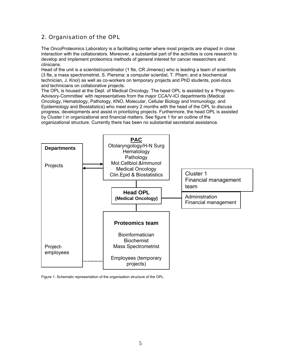# 2. Organisation of the OPL

The OncoProteomics Laboratory is a facilitating center where most projects are shaped in close interaction with the collaborators. Moreover, a substantial part of the activities is core research to develop and implement proteomics methods of general interest for cancer researchers and clinicians.

Head of the unit is a scientist/coordinator (1 fte, CR Jimenez) who is leading a team of scientists (3 fte, a mass spectrometrist, S. Piersma; a computer scientist, T. Pham; and a biochemical technician, J. Knol) as well as co-workers on temporary projects and PhD students, post-docs and technicians on collaborative projects.

The OPL is housed at the Dept. of Medical Oncology. The head OPL is assisted by a 'Program-Advisory-Committee' with representatives from the major CCA/V-ICI departments (Medical Oncology, Hematology, Pathology, KNO, Molecular, Cellular Biology and Immunology, and Epidemiology and Biostatistics) who meet every 2 months with the head of the OPL to discuss progress, developments and assist in prioritizing projects. Furthermore, the head OPL is assisted by Cluster I in organizational and financial matters. See figure 1 for an outline of the organizational structure. Currently there has been no substantial secretarial assistance.



Figure 1. Schematic representation of the organisation structure of the OPL.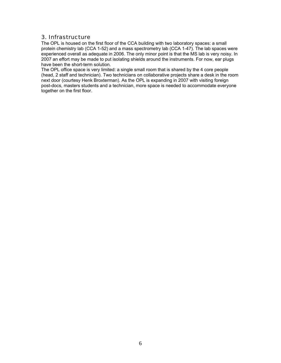## 3. Infrastructure

The OPL is housed on the first floor of the CCA building with two laboratory spaces: a small protein chemistry lab (CCA 1-52) and a mass spectrometry lab (CCA 1-47). The lab spaces were experienced overall as adequate in 2006. The only minor point is that the MS lab is very noisy. In 2007 an effort may be made to put isolating shields around the instruments. For now, ear plugs have been the short-term solution.

The OPL office space is very limited: a single small room that is shared by the 4 core people (head, 2 staff and technician). Two technicians on collaborative projects share a desk in the room next door (courtesy Henk Broxterman). As the OPL is expanding in 2007 with visiting foreign post-docs, masters students and a technician, more space is needed to accommodate everyone together on the first floor.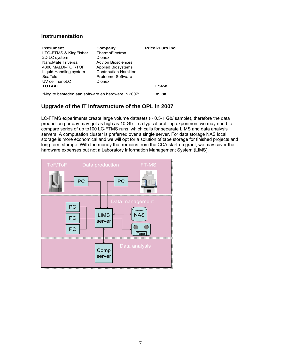## **Instrumentation**

| Instrument<br>LTQ-FTMS & KingFisher<br>2D LC system<br>NanoMate Triversa<br>4800 MALDI-TOF/TOF<br>Liquid Handling system<br>Scaffold | Company<br>ThermoElectron<br>Dionex<br><b>Advion Biosciences</b><br><b>Applied Biosystems</b><br><b>Contribution Hamilton</b><br>Proteome Software | <b>Price kEuro incl.</b> |
|--------------------------------------------------------------------------------------------------------------------------------------|----------------------------------------------------------------------------------------------------------------------------------------------------|--------------------------|
| UV cell nanoLC<br><b>TOTAAL</b>                                                                                                      | Dionex                                                                                                                                             | 1.545K                   |
| *Nog te besteden aan software en hardware in 2007:                                                                                   | 89.8K                                                                                                                                              |                          |

## **Upgrade of the IT infrastructure of the OPL in 2007**

LC-FTMS experiments create large volume datasets (~ 0.5-1 Gb/ sample), therefore the data production per day may get as high as 10 Gb. In a typical profiling experiment we may need to compare series of up to100 LC-FTMS runs, which calls for separate LIMS and data analysis servers. A computation cluster is preferred over a single server. For data storage NAS local storage is more economical and we will opt for a solution of tape storage for finished projects and long-term storage. With the money that remains from the CCA start-up grant, we may cover the hardware expenses but not a Laboratory Information Management System (LIMS).

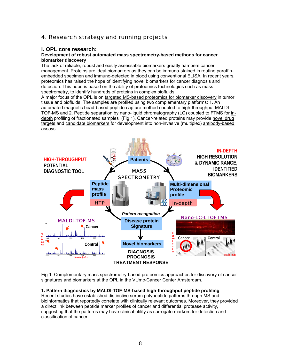# 4. Research strategy and running projects

## **I. OPL core research:**

## **Development of robust automated mass spectrometry-based methods for cancer biomarker discovery**

The lack of reliable, robust and easily assessable biomarkers greatly hampers cancer management. Proteins are ideal biomarkers as they can be immuno-stained in routine paraffinembedded specimen and immuno-detected in blood using conventional ELISA. In recent years, proteomics has raised the hope of identifying novel biomarkers for cancer diagnosis and detection. This hope is based on the ability of proteomics technologies such as mass spectrometry, to identify hundreds of proteins in complex biofluids

A major focus of the OPL is on targeted MS-based proteomics for biomarker discovery in tumor tissue and biofluids. The samples are profiled using two complementary platforms: 1. An automated magnetic bead-based peptide capture method coupled to high-throughput MALDI-TOF-MS and 2. Peptide separation by nano-liquid chromatography (LC) coupled to FTMS for indepth profiling of fractionated samples (Fig 1). Cancer-related proteins may provide novel drug targets and candidate biomarkers for development into non-invasive (multiplex) antibody-based assays.



Fig 1. Complementary mass spectrometry-based proteomics approaches for discovery of cancer signatures and biomarkers at the OPL in the VUmc-Cancer Center Amsterdam.

## **1. Pattern diagnostics by MALDI-TOF-MS-based high-throughput peptide profiling**

Recent studies have established distinctive serum polypeptide patterns through MS and bioinformatics that reportedly correlate with clinically relevant outcomes. Moreover, they provided a direct link between peptide marker profiles of cancer and differential protease activity, suggesting that the patterns may have clinical utility as surrogate markers for detection and classification of cancer.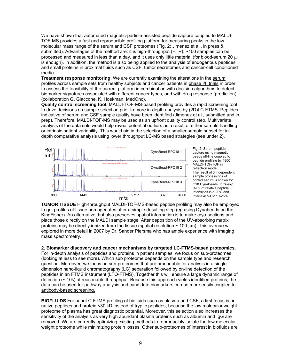We have shown that automated magnetic-particle-assisted peptide capture coupled to MALDI-TOF-MS provides a fast and reproducible profiling platform for measuring peaks in the low molecular mass range of the serum and CSF proteomes (Fig. 2; Jimenez et al., in press & submitted). Advantages of the method are: it is high-throughput (HTP): ~100 samples can be processed and measured in less than a day, and it uses only little material (for blood-serum 20 µl is enough). In addition, the method is also being applied to the analysis of endogenous peptides and small proteins in proximal fluids such as CSF, tumor secretomes and cancer-cell conditioned media.

**Treatment response monitoring**. We are currently examining the alterations in the serum profiles across sample sets from healthy subjects and cancer patients in phase I/II trials in order to assess the feasibility of the current platform in combination with decision algorithms to detect biomarker signatures associated with different cancer types, and with drug response (prediction) (collaboration G. Giaccone, K. Hoekman, MedOnc).

**Quality control screening tool.** MALDI-TOF-MS-based profiling provides a rapid screening tool to drive decisions on sample selection prior to more in-depth analysis by (2D)LC-FTMS. Peptides indicative of serum and CSF sample quality have been identified (Jimenez et al., submitted and in prep). Therefore, MALDI-TOF-MS may be used as an upfront quality control step. Multivariate analysis of the data sets would help reveal potential outliers as a result of either sample handling or intrinsic patient variability. This would aid in the selection of a smaller sample subset for indepth comparative analysis using lower throughput LC-MS based strategies (see under 2).



Fig. 2. Serum peptide capture using magnetic beads off-line coupled to peptide profiling by 4800 MALDI-TOF/TOF in reflectron mode. The result of 3 independent sample processings of control serum is shown for C18 DynaBeads. Intra-exp %CV of relative peptide intensities is 5-20% and inter-exp %CV 10-25%.

**TUMOR TISSUE** High-throughput MALDI-TOF-MS-based peptide profiling may also be employed to get profiles of tissue homogenates after a simple desalting step (eg using Dynabeads on the KingFisher). An alternative that also preserves spatial information is to make cryo-sections and place those directly on the MALDI sample stage. After deposition of the UV-absorbing matrix proteins may be directly ionized from the tissue (spatial resolution  $\sim$  100  $\mu$ m). This avenue will explored in more detail in 2007 by Dr. Sander Piersma who has ample experience with imaging mass spectrometry.

**2. Biomarker discovery and cancer mechanisms by targeted LC-FTMS-based proteomics.**

For in-depth analysis of peptides and proteins in patient samples, we focus on sub-proteomes (looking at less to see more). Which sub proteome depends on the sample type and research question. Moreover, we focus on sub-proteomes that are amendable for analysis in a single dimension nano-liquid chromatography (LC) separation followed by on-line detection of the peptides in an FTMS instrument (LTQ-FTMS). Together this will ensure a large dynamic range of detection (~ 106) at reasonable throughput. Because this approach yields identified proteins, the data can be used for pathway analysis and candidate biomarkers can be more easily coupled to antibody-based screening.

**BIOFLUIDS** For nanoLC-FTMS profiling of biofluids such as plasma and CSF, a first focus is on native peptides and protein <30 kD instead of tryptic peptides, because the low molecular weight proteome of plasma has great diagnostic potential. Moreover, this selection also increases the sensitivity of the analysis as very high abundant plasma proteins such as albumin and IgG are removed. We are currently optimizing existing methods to reproducibly isolate the low molecular weight proteome while minimizing protein losses. Other sub-proteomes of interest in biofluids are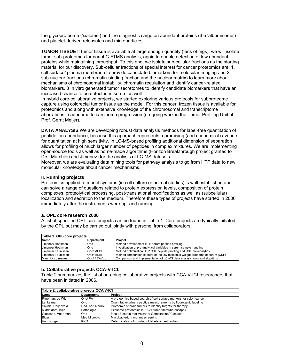the glycoproteome ('sialome') and the diagnostic cargo on abundant proteins (the 'albuminome') and platelet-derived releasates and microparticles.

**TUMOR TISSUE** If tumor tissue is available at large enough quantity (tens of mgs), we will isolate tumor sub-proteomes for nanoLC-FTMS analysis, again to enable detection of low abundant proteins while maintaining throughput. To this end, we isolate sub-cellular fractions as the starting material for our discovery. Sub-cellular fractions of special interest for cancer proteomics are: 1. cell surface/ plasma membrane to provide candidate biomarkers for molecular imaging and 2. sub-nuclear fractions (chromatin-binding fraction and the nuclear matrix) to learn more about mechanisms of chromosomal instability, chromatin regulation and identify cancer-related biomarkers. 3 In vitro generated tumor secretomes to identify candidate biomarkers that have an increased chance to be detected in serum as well.

In hybrid core-collaborative projects, we started exploring various protocols for subproteome capture using colorectal tumor tissue as the model. For this cancer, frozen tissue is available for proteomics and along with extensive knowledge of the chromosomal and transcriptome aberrations in adenoma to carcinoma progression (on-going work in the Tumor Profiling Unit of Prof. Gerrit Meijer).

**DATA ANALYSIS** We are developing robust data analysis methods for label-free quantitation of peptide ion abundance, because this approach represents a promising (and economical) avenue for quantitation at high sensitivity. In LC-MS-based profiling additional dimension of separation allows for profiling of much larger number of peptides in complex mixtures. We are implementing open-source tools as well as home-made algorithms (Horizon Breakthrough project granted to Drs. Marchiori and Jimenez) for the analysis of LC-MS datasets.

Moreover, we are evaluating data mining tools for pathway analysis to go from HTP data to new molecular knowledge about cancer mechanisms.

## **II. Running projects**

Proteomics applied to model systems (in cell culture or animal studies) is well established and can solve a range of questions related to protein expression levels, composition of protein complexes, proteolytical processing, post-translational modifications as well as (subcellular) localization and secretion to the medium. Therefore these types of projects have started in 2006 immediately after the instruments were up- and running.

## **a. OPL core research 2006**

A list of specified OPL core projects can be found in Table 1. Core projects are typically initiated by the OPL but may be carried out jointly with personel from collaborators.

| Table 1. OPL-core projects |                   |                                                                               |
|----------------------------|-------------------|-------------------------------------------------------------------------------|
| <b>Name</b>                | <b>Department</b> | <b>Project</b>                                                                |
| Jimenez/ Hoekman           | Onc               | Method development HTP serum peptide profiling                                |
| Jimenez/ Hoekman           | Onc               | Investigation of pre-analytical variables in serum sample handling            |
| Jimenez/ Teunissen         | Onc/ MCBI         | Method optimization HTP CSF peptide profiling and CSF pre-analytics           |
| Jimenez/Teunissen          | Onc/ MCBI         | Method comparison capture of the low molecular weight proteome of serum (CSF) |
| Marchiori/ Jimenez         | Onc/ FEW-VU       | Comparison and implementation of LC-MS data analysis tools and algoritms      |

## **b. Collaborative projects CCA-V-ICI:**

Table 2 summarizes the list of on-going collaborative projects with CCA-V-ICI researchers that have been initiated in 2006.

| Table 2. collaborative projects CCA/V-ICI |                   |                                                                     |
|-------------------------------------------|-------------------|---------------------------------------------------------------------|
| <b>Name</b>                               | <b>Department</b> | Project                                                             |
| Fijneman, de Wit                          | Onc/ PA           | A proteomics based search of cell surface markers for colon cancer. |
| Lankelma                                  | Onc               | Quantitative urinary peptide measurements by fluorogenic labeling   |
| Sminia, Reijneveld                        | RadTher, Neurol.  | Proteomic of brain tumors to identify targets for therapy           |
| Middeldorp, Klijn                         | Pathologie        | Exosome proteomics in EBV+ tumor immune escape)                     |
| Giaccone, Voortman                        | Onc               | fase 1B studie met Velcade/ Gemcitabine/ Cisplatin                  |
| <b>Bitter</b>                             | Med.Microbio      | Mycobacterium mutant screening                                      |
| Van Dongen                                | <b>KNO</b>        | Determination of number of labels on antibodies                     |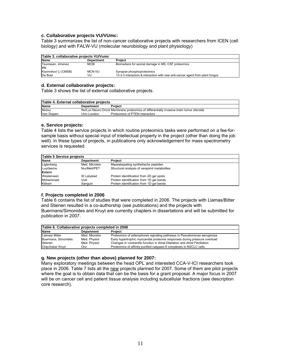## **c. Collaborative projects VU/VUmc:**

Table 3 summarizes the list of non-cancer collaborative projects with researchers from ICEN (cell biology) and with FALW-VU (molecular neurobiology and plant physiology)

| Table 3. collaborative projects VU/Vumc |                   |                                                                                                            |  |
|-----------------------------------------|-------------------|------------------------------------------------------------------------------------------------------------|--|
| <b>Name</b>                             | <b>Department</b> | Project                                                                                                    |  |
| Teunissen, Jimenez<br>lvu               | <b>MCBI</b>       | Biomarkers for axonal damage in MS, CSF proteomics                                                         |  |
| Klychnikov/ Li (CMSB)<br>De Boer        | MCN-VU<br>VU      | Synapse phosphoproteomics<br>13-3-3 interactors & interaction with new anti-cancer agent from plant fungus |  |

## **d. External collaborative projects:**

Table 3 shows the list of external collaborative projects.

| Table 4. External collaborative projects |                   |                                                                                        |
|------------------------------------------|-------------------|----------------------------------------------------------------------------------------|
| <b>Name</b>                              | <b>Department</b> | Project                                                                                |
| Niclou                                   |                   | NorLux Neuro-Oncol Membrane proteomics of differentially invasive brain tumor sferoids |
| Van Diepen                               | Univ.London       | Proteomics of PTEN interactors                                                         |

#### **e. Service projects:**

Table 4 lists the service projects in which routine proteomics tasks were performed on a fee-forsample basis without special input of intellectual property in the project (other than doing the job well). In these types of projects, in publications only acknowledgement for mass spectrometry services is requested.

| Table 5 Service projects |                    |                                              |
|--------------------------|--------------------|----------------------------------------------|
| Name                     | <b>Department</b>  | Project                                      |
| Ligtenberg               | Med. Microbio      | Massabepaling synthetische peptiden          |
| Luurtsema                | NucMed/PET         | Structural analysis of verapimil metabolites |
| Extern                   |                    |                                              |
| Westerveen               | <b>ID Lelystad</b> | Protein identification from 2D gel spots     |
| Mohammadi                | UvA                | Protein identification from 1D gel bands     |
| Kikkert                  | Sanguin            | Protein identification from 1D gel bands     |

## **f. Projects completed in 2006**

Table 6 contains the list of studies that were completed in 2006. The projects with Llamas/Bitter and Stienen resulted in a co-authorship (see publications) and the projects with Buermans/Simonides and Kruyt are currently chapters in dissertations and will be submitted for publication in 2007.

| Table 6. Collaborative projects completed in 2006 |                   |                                                                              |  |
|---------------------------------------------------|-------------------|------------------------------------------------------------------------------|--|
| <b>Name</b>                                       | <b>Department</b> | Project                                                                      |  |
| Llamas/Bitter                                     | Med. Microbio     | Proteomics of siderophores signaling pathways in Pseudomonas aeruginosa      |  |
| Buermans, Simonides                               | Med. Physiol      | Early hypertrophic myocardial proteome responses during pressure overload    |  |
| Stienen                                           | Med. Physiol      | Changes in contractile function in Atrial Dilatation and Atrial Fibrillation |  |
| Checińska/ Kruyt                                  | Onc               | Proteomics of affinity-purified caspase-9 complexes in NSCLC cells           |  |

## **g. New projects (other than above) planned for 2007:**

Many exploratory meetings between the head OPL and interested CCA-V-ICI researchers took place in 2006. Table 7 lists all the new projects planned for 2007. Some of them are pilot projects where the goal is to obtain data that can be the basis for a grant proposal. A major focus in 2007 will be on cancer cell and patient tissue analysis including subcellular fractions (see description core research).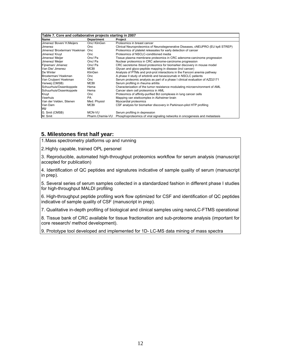| Table 7. Core and collaborative projects starting in 2007 |                 |                                                                                |  |
|-----------------------------------------------------------|-----------------|--------------------------------------------------------------------------------|--|
| Name                                                      | Department      | Project                                                                        |  |
| Jimenez/ Boven/ H.Meijers                                 | Onc/ KlinGen    | Proteomics in breast cancer                                                    |  |
| Jimenez                                                   | Onc.            | Clinical Neuroproteomics of Neurodegenerative Diseases, cNEUPRO (EU kp6 STREP) |  |
| Jimenez/ Broxterman/ Hoekman Onc                          |                 | Proteomics of platelet releasates for early detection of cancer                |  |
| Jimenez/ Kruyt                                            | Onc.            | Proteomics of NSCLC-conditioned media                                          |  |
| Jimenez/ Meijer                                           | Onc/ Pa         | Tissue plasma membrane proteomics in CRC adenome-carcinome progression         |  |
| Jimenez/ Meijer                                           | Onc/ Pa         | Nuclear proteomics in CRC adenome-carcinome progression                        |  |
| Fijneman/ Jimenez                                         | Onc/ Pa         | CRC secretome /blood proteomics for biomarker discovery in mouse model         |  |
| Van Die/ Jimenez                                          | <b>MCBI</b>     | Glycan and glyco-peptide mapping in disease (incl cancer)                      |  |
| De Winter                                                 | KlinGen         | Analysis of PTMs and prot-prot interactions in the Fanconi anemia pathway      |  |
| Broxterman/Hoekman                                        | Onc             | A phase II study of erlotinib and bevacizumab in NSCLC patients                |  |
| Van Cruijsen/ Hoekman                                     | Onc.            | Serum proteomic analysis as part of a phase I clinical evaluation of AZD2171   |  |
| Verweij (CMSB)                                            | <b>MCBI</b>     | Serum profiling in rheuma artritis                                             |  |
| Schuurhuis/Ossenkoppele                                   | Hema            | Characterization of the tumor resistance modulating microenvironment of AML    |  |
| Schuurhuis/Ossenkoppele                                   | Hema            | Cancer stem cell proteomics in AML                                             |  |
| Kruyt                                                     | Onc             | Proteomics of affinity-purified Bcl complexes in lung cancer cells             |  |
| Veerhuis                                                  | PA.             | Mapping van eiwitcomplex in Alzheimer brain                                    |  |
| Van der Velden, Stienen                                   | Med. Physiol    | Myocardial proteomics                                                          |  |
| Van Dam                                                   | <b>MCBI</b>     | CSF analysis for biomarker discovery in Parkinson-pilot HTP profiling          |  |
| VU                                                        |                 |                                                                                |  |
| G. Smit (CMSB)                                            | MCN-VU          | Serum profiling in depression                                                  |  |
| M. Smit                                                   | Pharm.Chemie-VU | Phosphoproteomics of viral signaling networks in oncogenesis and metastasis    |  |

## **5. Milestones first half year:**

1. Mass spectrometry platforms up and running

2. Highly capable, trained OPL personel

3. Reproducible, automated high-throughput proteomics workflow for serum analysis (manuscript accepted for publication)

4. Identification of QC peptides and signatures indicative of sample quality of serum (manuscript in prep).

5. Several series of serum samples collected in a standardized fashion in different phase I studies for high-throughput MALDI profiling

6. High-throughput peptide profiling work flow optimized for CSF and identification of QC peptides indicative of sample quality of CSF (manuscript in prep).

7. Qualitative in-depth profiling of biological and clinical samples using nanoLC-FTMS operational

8. Tissue bank of CRC available for tissue fractionation and sub-proteome analysis (important for core research/ method development).

9. Prototype tool developed and implemented for 1D- LC-MS data mining of mass spectra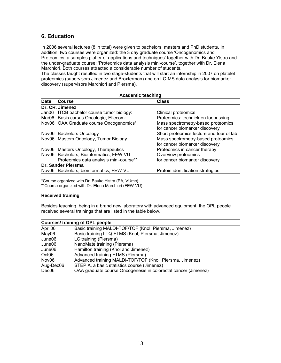## **6. Education**

In 2006 several lectures (8 in total) were given to bachelors, masters and PhD students. In addition, two courses were organized: the 3 day graduate course 'Oncogenomics and Proteomics, a samples platter of applications and techniques' together with Dr. Bauke Ylstra and the under-graduate course: 'Proteomics data analysis mini-course', together with Dr. Elena Marchiori. Both courses attracted a considerable number of students.

The classes taught resulted in two stage-students that will start an internship in 2007 on platelet proteomics (supervisors Jimenez and Broxterman) and on LC-MS data analysis for biomarker discovery (supervisors Marchiori and Piersma).

| <b>Academic teaching</b> |                                           |                                          |  |
|--------------------------|-------------------------------------------|------------------------------------------|--|
| Date                     | <b>Course</b>                             | <b>Class</b>                             |  |
|                          | Dr. CR. Jimenez                           |                                          |  |
|                          | Jan06 ITCB bachelor course tumor biology: | <b>Clinical proteomics</b>               |  |
|                          | Mar06 Basis cursus Oncologie, Ellecom:    | Proteomics: techniek en toepassing       |  |
|                          | Nov06 OAA Graduate course Oncogenomics*   | Mass spectrometry-based proteomics       |  |
|                          |                                           | for cancer biomarker discovery           |  |
|                          | Nov06 Bachelors Oncology                  | Short proteomics lecture and tour of lab |  |
|                          | Nov06 Masters Oncology, Tumor Biology     | Mass spectrometry-based proteomics       |  |
|                          |                                           | for cancer biomarker discovery           |  |
|                          | Nov06 Masters Oncology, Therapeutics      | Proteomics in cancer therapy             |  |
|                          | Nov06 Bachelors, Bioinformatics, FEW-VU   | Overview proteomics                      |  |
|                          | Proteomics data analysis mini-course**    | for cancer biomarker discovery           |  |
|                          | Dr. Sander Piersma                        |                                          |  |
|                          | Nov06 Bachelors, bioinformatics, FEW-VU   | Protein identification strategies        |  |
|                          |                                           |                                          |  |

\*Course organized with Dr. Bauke Ylstra (PA, VUmc) \*\*Course organized with Dr. Elena Marchiori (FEW-VU)

## **Received training**

Besides teaching, being in a brand new laboratory with advanced equipment, the OPL people received several trainings that are listed in the table below.

| <b>Courses/ training of OPL people</b> |                                                                |  |
|----------------------------------------|----------------------------------------------------------------|--|
| April06                                | Basic training MALDI-TOF/TOF (Knol, Piersma, Jimenez)          |  |
| May06                                  | Basic training LTQ-FTMS (Knol, Piersma, Jimenez)               |  |
| June06                                 | LC training (Piersma)                                          |  |
| June06                                 | NanoMate training (Piersma)                                    |  |
| June06                                 | Hamilton training (Knol and Jimenez)                           |  |
| Oct06                                  | Advanced training FTMS (Piersma)                               |  |
| Nov06                                  | Advanced training MALDI-TOF/TOF (Knol, Piersma, Jimenez)       |  |
| Aug-Dec06                              | STEP A, a basic statistics course (Jimenez)                    |  |
| Dec06                                  | OAA graduate course Oncogenesis in colorectal cancer (Jimenez) |  |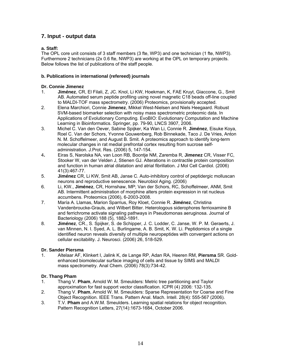## **7. Input - output data**

## **a. Staff:**

The OPL core unit consists of 3 staff members (3 fte, WP3) and one technician (1 fte, NWP3). Furthermore 2 technicians (2x 0.6 fte, NWP3) are working at the OPL on temporary projects. Below follows the list of publications of the staff people.

## **b. Publications in international (refereed) journals**

## **Dr. Connie Jimenez**

- 1. **Jiménez**, CR, El Filali, Z, JC. Knol, Li KW, Hoekman, K, FAE Kruyt, Giaccone, G., Smit AB. Automated serum peptide profiling using novel magnetic C18 beads off-line coupled to MALDI-TOF mass spectrometry. (2006) Proteomics, provisionally accepted.
- 2. Elena Marchiori, Connie **Jimenez**, Mikkel West-Nielsen and Niels Heegaard. Robust SVM-based biomarker selection with noisy mass spectrometric proteomic data. In Applications of Evolutionary Computing. EvoBIO: Evolutionary Computation and Machine Learning in Bioinformatics. Springer, pp. 79-90, LNCS 3907, 2006.
- 3. Michel C. Van den Oever, Sabine Spijker, Ka Wan Li, Connie R. **Jiménez**, Eisuke Koya, Roel C. Van der Schors, Yvonne Gouwenberg, Rob Binnekade, Taco J. De Vries, Anton N. M. Schoffelmeer, and August B. Smit. A proteomics approach to identify long-term molecular changes in rat medial prefrontal cortex resulting from sucrose selfadministration. J.Prot. Res. (2006) 5, 147-154.
- 4**.** Eiras S, Narolska NA, van Loon RB, Boontje NM, Zaremba R, **Jimenez** CR, Visser FC, Stooker W, van der Velden J, Stienen GJ. Alterations in contractile protein composition and function in human atrial dilatation and atrial fibrillation. J Mol Cell Cardiol. (2006) 41(3):467-77.
- 5. **Jiménez** CR, Li KW, Smit AB, Janse C. Auto-inhibitory control of peptidergic molluscan neurons and reproductive senescence. Neurobiol Aging. (2006)
- 6. Li, KW., **Jiménez**, CR, Hornshaw, MP; Van der Schors, RC, Schoffelmeer, ANM, Smit AB. Intermittent administration of morphine alters protein expression in rat nucleus accumbens. Proteomics (2006), 6-2003-2008.
- 7. María A. Llamas, Marion Sparrius, Roy Kloet, Connie R. **Jiménez**, Christina Vandenbroucke-Grauls, and Wilbert Bitter. Heterologous siderophores ferrioxamine B and ferrichrome activate signaling pathways in Pseudomonas aeruginosa. Journal of Bacteriology (2006) 188 (5), 1882-1891.
- 8. **Jiménez**, CR., S. Spijker, S. de Schipper, J. C. Lodder, C. Janse, W. P. M. Geraerts, J. van Minnen, N. I. Syed, A. L. Burlingame, A. B. Smit, K. W. Li. Peptidomics of a single identified neuron reveals diversity of multiple neuropeptides with convergent actions on cellular excitability. J. Neurosci. (2006) 26, 518-529.

## **Dr. Sander Piersma**

1. Altelaar AF, Klinkert I, Jalink K, de Lange RP, Adan RA, Heeren RM, **Piersma** SR. Goldenhanced biomolecular surface imaging of cells and tissue by SIMS and MALDI mass spectrometry. Anal Chem. (2006) 78(3):734-42.

## **Dr. Thang Pham**

- 1. Thang V. **Pham**, Arnold W. M. Smeulders: Metric tree partitioning and Taylor approximation for fast support vector classification. ICPR (4) 2006: 132-135.
- 2. Thang V. **Pham**, Arnold W. M. Smeulders: Sparse Representation for Coarse and Fine Object Recognition. IEEE Trans. Pattern Anal. Mach. Intell. 28(4): 555-567 (2006).
- 3. T.V. **Pham** and A.W.M. Smeulders. Learning spatial relations for object recognition. Pattern Recognition Letters, 27(14):1673-1684, October 2006.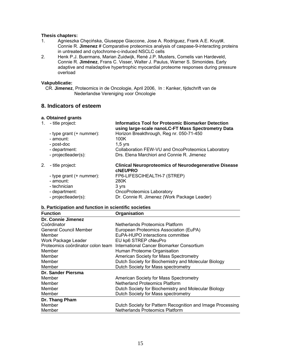## **Thesis chapters:**

- 1. Agnieszka Chęcińska, Giuseppe Giaccone, Jose A. Rodriguez, Frank A.E. Kruyt#, Connie R. **Jimenez** # Comparative proteomics analysis of caspase-9-interacting proteins in untreated and cytochrome-c-induced NSCLC cells
- 2. Henk P.J. Buermans, Marian Zuidwijk, René J.P. Musters, Cornelis van Hardeveld, Connie R. **Jiménez**, Frans C. Visser, Walter J. Paulus, Warner S. Simonides. Early adaptive and maladaptive hypertrophic myocardial proteome responses during pressure overload

## **Vakpublicatie:**

CR. **Jimenez**, Proteomics in de Oncologie, April 2006, In : Kanker, tijdschrift van de Nederlandse Vereniging voor Oncologie

## **8. Indicators of esteem**

## **a. Obtained grants**

|    | 1. - title project:         | <b>Informatics Tool for Proteomic Biomarker Detection</b><br>using large-scale nanoLC-FT Mass Spectrometry Data |  |  |  |
|----|-----------------------------|-----------------------------------------------------------------------------------------------------------------|--|--|--|
|    | - type grant $(+)$ nummer): | Horizon Breakthrough, Reg nr. 050-71-450                                                                        |  |  |  |
|    | - amount:                   | 100K                                                                                                            |  |  |  |
|    | - post-doc                  | $1.5$ vrs                                                                                                       |  |  |  |
|    | - department:               | Collaboration FEW-VU and OncoProteomics Laboratory                                                              |  |  |  |
|    | - projectleader(s):         | Drs. Elena Marchiori and Connie R. Jimenez                                                                      |  |  |  |
| 2. | - title project:            | <b>Clinical Neuroproteomics of Neurodegenerative Disease</b><br><b>CNEUPRO</b>                                  |  |  |  |
|    | - type grant (+ nummer):    | FP6-LIFESCIHEALTH-7 (STREP)                                                                                     |  |  |  |
|    | - amount:                   | 280K                                                                                                            |  |  |  |
|    | - technician                | 3 yrs                                                                                                           |  |  |  |
|    |                             |                                                                                                                 |  |  |  |
|    | - department:               | <b>OncoProteomics Laboratory</b>                                                                                |  |  |  |

## **b. Participation and function in scientific societies**

| <b>Function</b>                   | Organisation                                               |  |  |  |  |
|-----------------------------------|------------------------------------------------------------|--|--|--|--|
| Dr. Connie Jimenez                |                                                            |  |  |  |  |
| Coördinator                       | Netherlands Proteomics Platform                            |  |  |  |  |
| <b>General Council Member</b>     | European Proteomics Association (EuPA)                     |  |  |  |  |
| Member                            | EuPA-HUPO interactions committee                           |  |  |  |  |
| Work Package Leader               | EU kp6 STREP cNeuPro                                       |  |  |  |  |
| Proteomics coördinator colon team | International Cancer Biomarker Consortium                  |  |  |  |  |
| Member                            | Human Proteome Organisation                                |  |  |  |  |
| Member                            | American Society for Mass Spectrometry                     |  |  |  |  |
| Member                            | Dutch Society for Biochemistry and Molecular Biology       |  |  |  |  |
| Member                            | Dutch Society for Mass spectrometry                        |  |  |  |  |
| Dr. Sander Piersma                |                                                            |  |  |  |  |
| Member                            | American Society for Mass Spectrometry                     |  |  |  |  |
| Member                            | <b>Netherland Proteomics Platform</b>                      |  |  |  |  |
| Member                            | Dutch Society for Biochemistry and Molecular Biology       |  |  |  |  |
| Member                            | Dutch Society for Mass spectrometry                        |  |  |  |  |
| Dr. Thang Pham                    |                                                            |  |  |  |  |
| Member                            | Dutch Society for Pattern Recognition and Image Processing |  |  |  |  |
| Member                            | <b>Netherlands Proteomics Platform</b>                     |  |  |  |  |
|                                   |                                                            |  |  |  |  |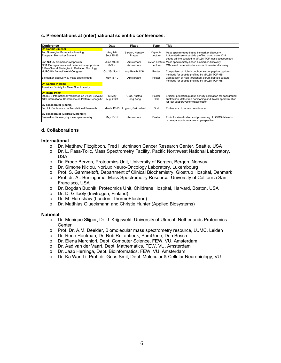## **c. Presentations at (inter)national scientific conferences:**

| <b>Conference</b>                                   | Date          | Place               | Type     | Title                                                          |
|-----------------------------------------------------|---------------|---------------------|----------|----------------------------------------------------------------|
| <b>Dr. Connie Jimenez</b>                           |               |                     |          |                                                                |
| 2nd Norwegian Proteomics Meeting                    | Aug 7-8       | Bergen, Norway      | Key-note | Mass spectrometry-based biomarker discovery                    |
| European Biomarker Summit                           | Sept 25-26    | Prague              | Lecture  | Automated serum peptide profiling using novel C18              |
|                                                     |               |                     |          | beads off-line coupled to MALDI-TOF mass spectrometry          |
| 2nd NUBIN biomarker symposium                       | June 19-20    | Amsterdam           |          | Invited Lecture Mass spectrometry-based biomarker discovery    |
| CCA Oncogenomics and proteomics symposium           | 6-Nov         | Amsterdam           | Lecture  | MS-based proteomics for cancer biomarker discovery             |
| & Pre-Clinical Strategies in Radiation Oncology     |               |                     |          |                                                                |
| HUPO 5th Annual World Congress                      | Oct 28- Nov 1 | Long Beach, USA     | Poster   | Comparison of high-throughput serum peptide capture            |
|                                                     |               |                     |          | methods for peptide profiling by MALDI-TOF-MS                  |
| Biomarker discovery by mass spectrometry            | May 18-19     | Amsterdam           | Poster   | Comparison of high-throughput serum peptide capture            |
|                                                     |               |                     |          | methods for peptide profiling by MALDI-TOF-MS                  |
| <b>Dr. Sander Piersma</b>                           |               |                     |          |                                                                |
| American Society for Mass Spectrometry              |               |                     |          |                                                                |
| <b>Dr Thang Pham</b>                                |               |                     |          |                                                                |
| 6th IEEE International Workshop on Visual Surveilla | 13-May        | Graz, Austria       | Poster   | Efficient projection pursuit density estimation for background |
| 18th International Conference on Pattern Recognitic | Aug. 2023     | Hong Kong           | Oral     | subtraction Metric tree partitioning and Taylor approximation  |
|                                                     |               |                     |          | for fast support vector classification                         |
| By collaborator (Sminia)                            |               |                     |          |                                                                |
| 3ed Int. Conference on Translational Research       | March 12-15   | Lugano, Switzerland | Oral     | Proteomics of human brain tumors                               |
|                                                     |               |                     |          |                                                                |
| By collaborator (Codrea/ Marchiori)                 |               |                     |          |                                                                |
| Biomarker discovery by mass spectrometry            | May 18-19     | Amsterdam           | Poster   | Tools for visualization and processing of LC/MS datasets:      |
|                                                     |               |                     |          | a comparison from a user's perspective                         |

#### **d. Collaborations**

#### **International**

- o Dr. Matthew Fitzgibbon, Fred Hutchinson Cancer Research Center, Seattle, USA
- o Dr. L. Pasa-Tolic, Mass Spectrometry Facility, Pacific Northwest National Laboratory, USA
- o Dr. Frode Berven, Proteomics Unit, University of Bergen, Bergen, Norway
- o Dr. Simone Niclou, NorLux Neuro-Oncology Laboratory, Luxembourg
- o Prof. S. Gammeltoft, Department of Clinical Biochemistry, Glostrup Hospital, Denmark
- o Prof. dr. AL Burlingame, Mass Spectrometry Resource, University of California San Francisco, USA
- o Dr. Bogdan Budnik, Proteomics Unit, Childrens Hospital, Harvard, Boston, USA
- o Dr. D. Gillooly (Invitrogen, Finland)
- o Dr. M. Hornshaw (London, ThermoElectron)
- o Dr. Matthias Glueckmann and Christie Hunter (Applied Biosystems)

#### **National**

- o Dr. Monique Slijper, Dr. J. Krijgsveld, University of Utrecht, Netherlands Proteomics **Center**
- o Prof. Dr. A.M. Deelder, Biomolecular mass spectrometry resource, LUMC, Leiden
- o Dr. Rene Houtman, Dr. Rob Ruitenbeek, PamGene, Den Bosch
- o Dr. Elena Marchiori, Dept. Computer Science, FEW, VU, Amsterdam
- o Dr. Aad van der Vaart, Dept. Mathematics, FEW, VU, Amsterdam
- o Dr. Jaap Herringa, Dept. Bioinformatics, FEW, VU, Amsterdam
- o Dr. Ka Wan Li, Prof. dr. Guus Smit, Dept. Molecular & Cellular Neurobiology, VU